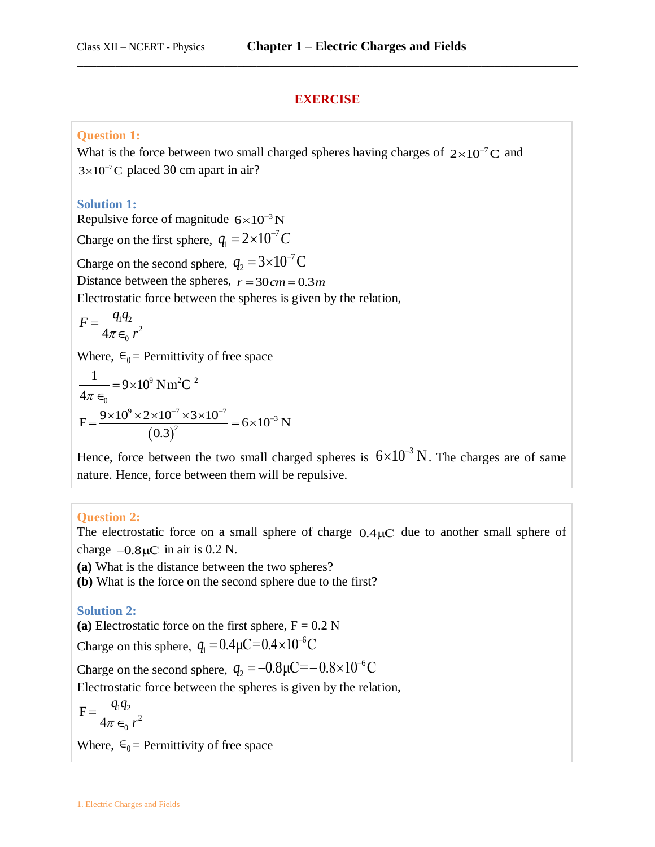### **EXERCISE**

\_\_\_\_\_\_\_\_\_\_\_\_\_\_\_\_\_\_\_\_\_\_\_\_\_\_\_\_\_\_\_\_\_\_\_\_\_\_\_\_\_\_\_\_\_\_\_\_\_\_\_\_\_\_\_\_\_\_\_\_\_\_\_\_\_\_\_\_\_\_\_\_\_\_\_\_\_\_

### **Question 1:**

What is the force between two small charged spheres having charges of  $2\times10^{-7}$ C and  $3\times10^{-7}$ C placed 30 cm apart in air?

#### **Solution 1:**

Repulsive force of magnitude  $6\times10^{-3}$  N Charge on the first sphere,  $q_1 = 2 \times 10^{-7}$  $q_1 = 2 \times 10^{-7} C$ Charge on the second sphere,  $q_2 = 3 \times 10^{-7}$  $q_2 = 3 \times 10^{-7} \text{C}$ Distance between the spheres,  $r = 30 \, cm = 0.3 \, m$ Electrostatic force between the spheres is given by the relation,

$$
F = \frac{q_1 q_2}{4\pi \epsilon_0 r^2}
$$

Where,  $\epsilon_0$  = Permittivity of free space

$$
\frac{1}{4\pi\epsilon_0} = 9 \times 10^9 \text{ N m}^2\text{C}^{-2}
$$

$$
F = \frac{9 \times 10^9 \times 2 \times 10^{-7} \times 3 \times 10^{-7}}{(0.3)^2} = 6 \times 10^{-3} \text{ N}
$$

Hence, force between the two small charged spheres is  $6\times10^{-3}$  N. The charges are of same nature. Hence, force between them will be repulsive.

#### **Question 2:**

The electrostatic force on a small sphere of charge  $0.4\mu$ C due to another small sphere of charge  $-0.8\,\mu\text{C}$  in air is 0.2 N.

**(a)** What is the distance between the two spheres?

**(b)** What is the force on the second sphere due to the first?

#### **Solution 2:**

(a) Electrostatic force on the first sphere,  $F = 0.2$  N

Charge on this sphere,  $q_1 = 0.4 \mu C = 0.4 \times 10^{-6}$  $q_1 = 0.4 \mu C = 0.4 \times 10^{-6} C$ 

Charge on the second sphere,  $q_2 = -0.8\mu$ C= $-0.8 \times 10^{-6}$  $q_2 = -0.8 \mu C = -0.8 \times 10^{-6} C$ 

Electrostatic force between the spheres is given by the relation,

$$
F = \frac{q_1 q_2}{4\pi \epsilon_0 r^2}
$$

Where,  $\epsilon_0$  = Permittivity of free space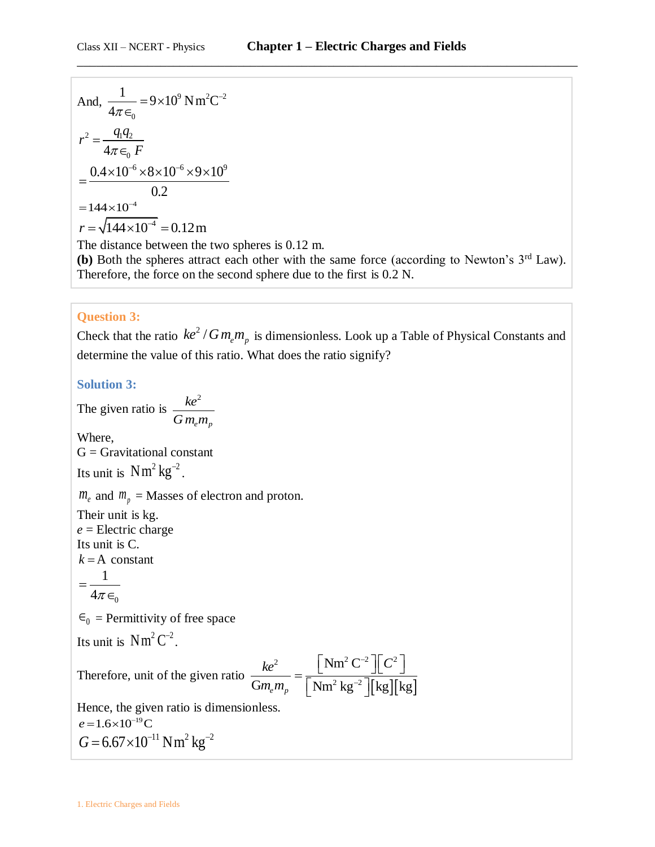And, 
$$
\frac{1}{4\pi\epsilon_0} = 9 \times 10^9 \text{ N m}^2\text{C}^{-2}
$$

$$
r^2 = \frac{q_1 q_2}{4\pi\epsilon_0 F}
$$

$$
= \frac{0.4 \times 10^{-6} \times 8 \times 10^{-6} \times 9 \times 10^9}{0.2}
$$

$$
= 144 \times 10^{-4}
$$

$$
r = \sqrt{144 \times 10^{-4}} = 0.12 \text{ m}
$$

The distance between the two spheres is 0.12 m.

**(b)** Both the spheres attract each other with the same force (according to Newton's 3<sup>rd</sup> Law). Therefore, the force on the second sphere due to the first is 0.2 N.

#### **Question 3:**

Check that the ratio  $ke^2/Gm_em_p$  is dimensionless. Look up a Table of Physical Constants and determine the value of this ratio. What does the ratio signify?

**Solution 3:**

The given ratio is 2  $e^{\mathbf{i}\mathbf{i}t}$ *ke*  $G m_e m$ Where,  $G =$  Gravitational constant Its unit is  $Nm^2$  kg<sup>-2</sup>.  $m_e$  and  $m_p$  = Masses of electron and proton. Their unit is kg. *e* = Electric charge Its unit is C.  $k = A$  constant  $\boldsymbol{0}$ 1  $4\pi$  $=$  $\in$  $\epsilon_0$  = Permittivity of free space Its unit is  $Nm^2C^{-2}$ . Therefore, unit of the given ratio  $\frac{\parallel C^{2} \parallel}{[\rm kg][\rm kg]}$ 2  $\sqrt{\text{Nm}^2 \text{C}^{-2} \cdot \text{C}^2}$  $\frac{2}{2} \frac{1}{\sqrt{2}}$  $Nm^2C$  $\frac{\kappa e}{Gm_e m_p} = \frac{L^2 \ln 2 \ln 2}{\left[\text{Nm}^2 \text{ kg}^2\right] \left[\text{kg}\right] \left[\text{kg}\right]}$  $ke^2$   $\left[\text{Nm}^2\text{C}^{-2}\right]\left[\text{C}\right]$ ке<br>m<sub>e</sub>m  $\overline{a}$  $=\frac{\left[\text{Nm}^2\text{ C}^2\right]\left[\text{ C}^2\right]}{\left[\text{Nm}^2\text{ kg}^2\right]\left[\text{kg}\right]\left[\text{kg}\right]}$ Hence, the given ratio is dimensionless.  $e = 1.6 \times 10^{-19}$ C  $G = 6.67 \times 10^{-11}$  Nm<sup>2</sup> kg<sup>-2</sup>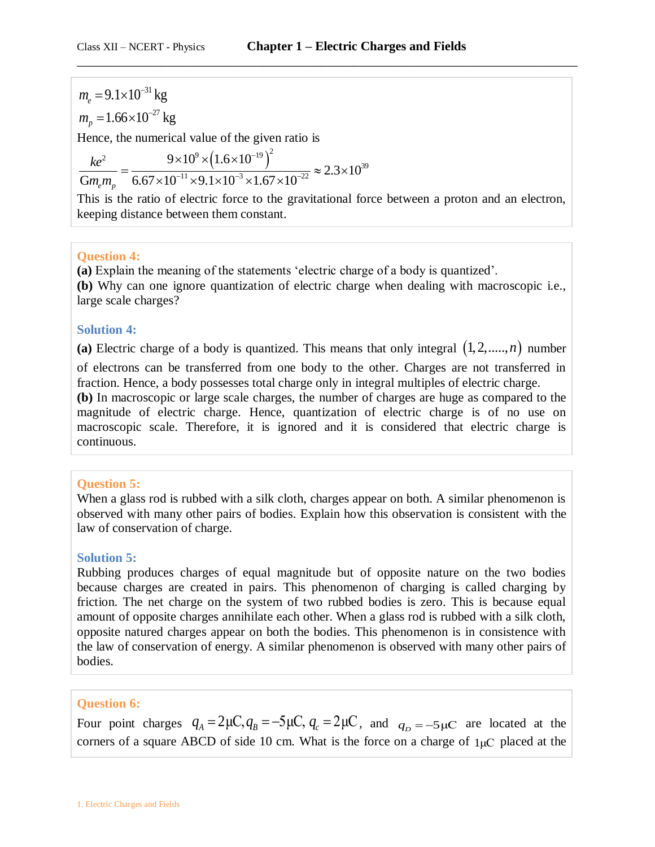$m_e = 9.1 \times 10^{-31}$  kg<br>  $m_p = 1.66 \times 10^{-27}$  kg<br>
Hence, the numerica<br>  $\frac{ke^2}{Gm_e m_p} = \frac{9 \times 10^{-14} \text{ m}}{6.67 \times 10^{-14}}$ <br>
This is the ratio of<br>
keeping distance bet<br> **Question 4:**<br>
(a) Explain the meaa<br>
(b) Why can one ig<br>
la  $= 9.1 \times 10^{-7}$  $m_p = 1.66 \times 10^{-27}$  kg Hence, the numerical value of the given ratio is e of the given ratio is<br> $\left(1.6 \times 10^{-19}\right)^2$ <br> $\frac{1 \times 10^{-3} \times 1.67 \times 10^{-22}}{2} \approx 2.3 \times$ <sup>2</sup>  $9 \times 10^9 \times (1.6 \times 10^{-19})^2$   $\approx 2.3 \times 10^{39}$ ical value of the given ratio<br> $9 \times 10^{9} \times (1.6 \times 10^{-19})^{2}$ <br> $10^{-11} \times 9.1 \times 10^{-3} \times 1.67 \times 10^{-22}$  $2.3 \times 10$  $\frac{ke^2}{Gm_em_p} = \frac{9\times10^9\times(1.6\times10^{-19})^2}{6.67\times10^{-11}\times9.1\times10^{-3}\times1.67\times10}$ *ke*  $\frac{ke^2}{m_e m_p} = \frac{9 \times 10^9 \times (1.6 \times 10^{-19})}{6.67 \times 10^{-11} \times 9.1 \times 10^{-3} \times 10^{-3}}$ al value of the given rationally<br> $\times 10^{9} \times (1.6 \times 10^{-19})^{2}$ the numerical value of the given ratio is<br>=  $\frac{9 \times 10^{9} \times (1.6 \times 10^{-19})^2}{6.67 \times 10^{-11} \times 9.1 \times 10^{-3} \times 1.67 \times 10^{-22}} \approx 2.3 \times 10^{39}$  $\frac{9\times10^{9}\times(1.6\times10^{-19})^{2}}{\times10^{-11}\times9.1\times10^{-3}\times1.67\times10^{-22}}\approx2$ 

This is the ratio of electric force to the gravitational force between a proton and an electron, keeping distance between them constant.

## **Question 4:**

**(a)** Explain the meaning of the statements 'electric charge of a body is quantized'. **(b)** Why can one ignore quantization of electric charge when dealing with macroscopic i.e., large scale charges?

### **Solution 4:**

(a) Electric charge of a body is quantized. This means that only integral  $(1, 2, \ldots, n)$  number

of electrons can be transferred from one body to the other. Charges are not transferred in fraction. Hence, a body possesses total charge only in integral multiples of electric charge.

**(b)** In macroscopic or large scale charges, the number of charges are huge as compared to the magnitude of electric charge. Hence, quantization of electric charge is of no use on macroscopic scale. Therefore, it is ignored and it is considered that electric charge is continuous.

### **Question 5:**

When a glass rod is rubbed with a silk cloth, charges appear on both. A similar phenomenon is observed with many other pairs of bodies. Explain how this observation is consistent with the law of conservation of charge.

### **Solution 5:**

Rubbing produces charges of equal magnitude but of opposite nature on the two bodies because charges are created in pairs. This phenomenon of charging is called charging by friction. The net charge on the system of two rubbed bodies is zero. This is because equal amount of opposite charges annihilate each other. When a glass rod is rubbed with a silk cloth, opposite natured charges appear on both the bodies. This phenomenon is in consistence with the law of conservation of energy. A similar phenomenon is observed with many other pairs of bodies.

### **Question 6:**

**Question 6:**<br>Four point charges  $q_A = 2\mu C, q_B = -5\mu C, q_c = 2\mu C$ , and  $q_D = -5\mu C$  are located at the corners of a square ABCD of side 10 cm. What is the force on a charge of  $1\mu$ C placed at the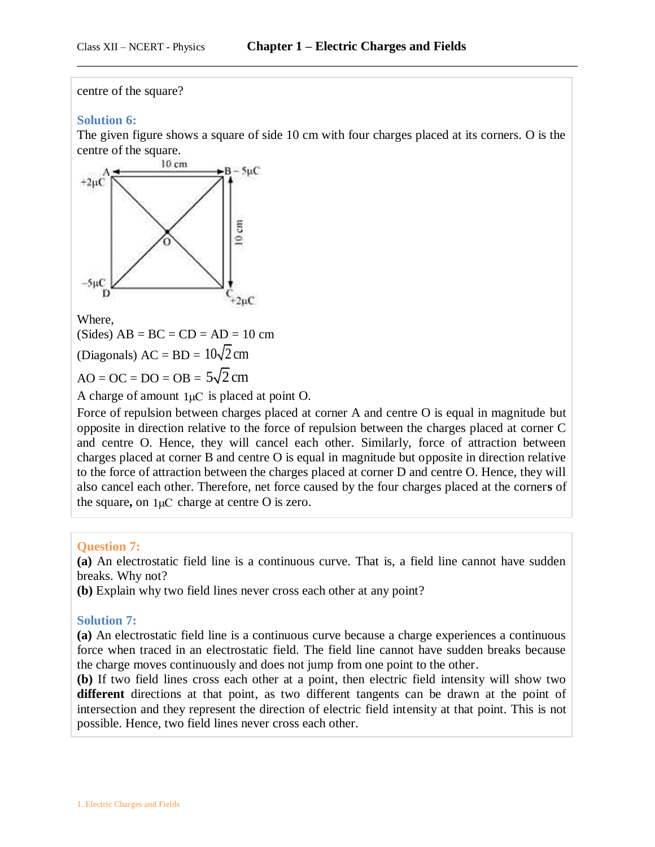#### centre of the square?

#### **Solution 6:**

The given figure shows a square of side 10 cm with four charges placed at its corners. O is the centre of the square.

\_\_\_\_\_\_\_\_\_\_\_\_\_\_\_\_\_\_\_\_\_\_\_\_\_\_\_\_\_\_\_\_\_\_\_\_\_\_\_\_\_\_\_\_\_\_\_\_\_\_\_\_\_\_\_\_\_\_\_\_\_\_\_\_\_\_\_\_\_\_\_\_\_\_\_\_\_\_



Where,

 $(Sides) AB = BC = CD = AD = 10 cm$ 

(Diagonals)  $AC = BD = 10\sqrt{2} cm$ 

 $AO = OC = DO = OB = 5\sqrt{2} cm$ 

A charge of amount  $1\mu$ C is placed at point O.

Force of repulsion between charges placed at corner A and centre O is equal in magnitude but opposite in direction relative to the force of repulsion between the charges placed at corner C and centre O. Hence, they will cancel each other. Similarly, force of attraction between charges placed at corner B and centre O is equal in magnitude but opposite in direction relative to the force of attraction between the charges placed at corner D and centre O. Hence, they will also cancel each other. Therefore, net force caused by the four charges placed at the corner**s** of the square**,** on 1μC charge at centre O is zero.

#### **Question 7:**

**(a)** An electrostatic field line is a continuous curve. That is, a field line cannot have sudden breaks. Why not?

**(b)** Explain why two field lines never cross each other at any point?

#### **Solution 7:**

**(a)** An electrostatic field line is a continuous curve because a charge experiences a continuous force when traced in an electrostatic field. The field line cannot have sudden breaks because the charge moves continuously and does not jump from one point to the other.

**(b)** If two field lines cross each other at a point, then electric field intensity will show two **different** directions at that point, as two different tangents can be drawn at the point of intersection and they represent the direction of electric field intensity at that point. This is not possible. Hence, two field lines never cross each other.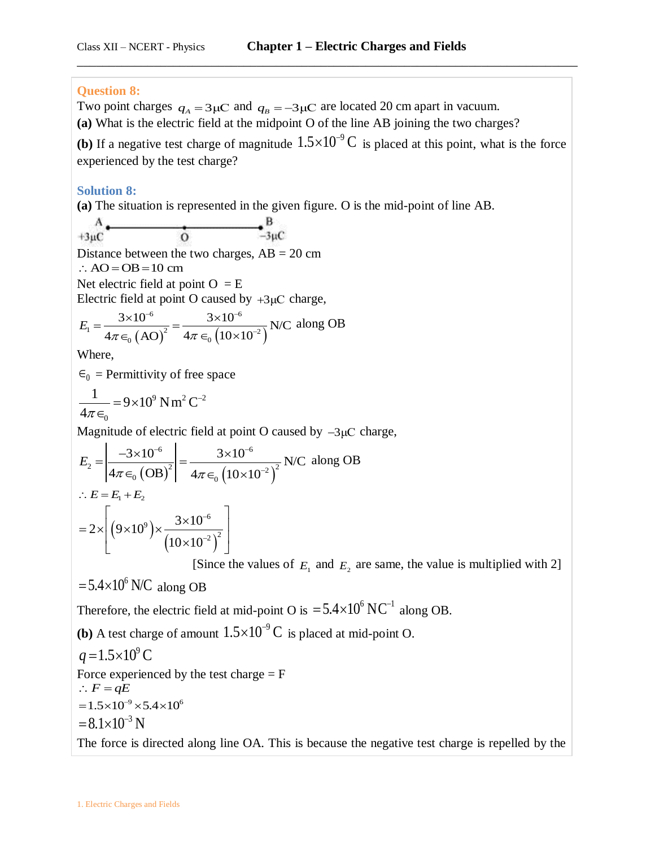## **Question 8:**

Two point charges  $q_A = 3\,\mu\text{C}$  and  $q_B = -3\,\mu\text{C}$  are located 20 cm apart in vacuum.

**(a)** What is the electric field at the midpoint O of the line AB joining the two charges?

**(b)** If a negative test charge of magnitude  $1.5 \times 10^{-9}$  C is placed at this point, what is the force experienced by the test charge?

\_\_\_\_\_\_\_\_\_\_\_\_\_\_\_\_\_\_\_\_\_\_\_\_\_\_\_\_\_\_\_\_\_\_\_\_\_\_\_\_\_\_\_\_\_\_\_\_\_\_\_\_\_\_\_\_\_\_\_\_\_\_\_\_\_\_\_\_\_\_\_\_\_\_\_\_\_\_

## **Solution 8:**

**(a)** The situation is represented in the given figure. O is the mid-point of line AB.

$$
A \xrightarrow{\mathbf{A}} \mathbf{B}
$$

Distance between the two charges,  $AB = 20$  cm

 $\therefore$  AO = OB = 10 cm

Net electric field at point  $O = E$ 

Electric field at point O caused by +3
$$
\mu
$$
C charge,  
\n
$$
E_1 = \frac{3 \times 10^{-6}}{4\pi \epsilon_0 (AO)^2} = \frac{3 \times 10^{-6}}{4\pi \epsilon_0 (10 \times 10^{-2})}
$$
 N/C along OB

Where,

 $\epsilon_0$  = Permittivity of free space

$$
\frac{1}{4\pi\epsilon_0} = 9 \times 10^9 \text{ N m}^2 \text{ C}^{-2}
$$

Magnitude of electric field at point O caused by 
$$
-3\mu
$$
C charge,

\n
$$
E_{2} = \left| \frac{-3 \times 10^{-6}}{4\pi \epsilon_{0} \left( \text{OB} \right)^{2}} \right| = \frac{3 \times 10^{-6}}{4\pi \epsilon_{0} \left( 10 \times 10^{-2} \right)^{2}} \text{ N/C along OB}
$$
\n
$$
\therefore E = E_{1} + E_{2}
$$
\n
$$
= 2 \times \left[ \left( 9 \times 10^{9} \right) \times \frac{3 \times 10^{-6}}{\left( 10 \times 10^{-2} \right)^{2}} \right]
$$

[Since the values of  $E_1$  and  $E_2$  are same, the value is multiplied with 2]

# $= 5.4 \times 10^6$  N/C along OB

Therefore, the electric field at mid-point O is  $= 5.4 \times 10^6$  NC<sup>-1</sup> along OB.

**(b)** A test charge of amount  $1.5 \times 10^{-9}$  C is placed at mid-point O.

 $q = 1.5 \times 10^9$  C Force experienced by the test charge  $=$  F  $\therefore$  *F* = *qE*  $= 1.5 \times 10^{-9} \times 5.4 \times 10^{6}$  $= 8.1 \times 10^{-3}$  N The force is directed along line OA. This is because the negative test charge is repelled by the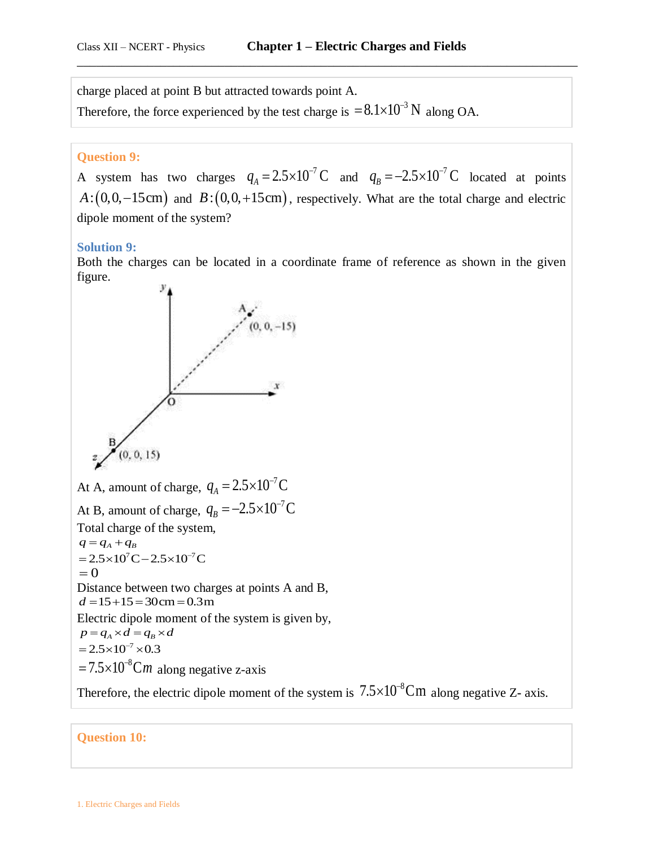charge placed at point B but attracted towards point A.

Therefore, the force experienced by the test charge is  $= 8.1 \times 10^{-3}$  N along OA.

#### **Question 9:**

A system has two charges  $q_A = 2.5 \times 10^{-7}$  C and  $q_B = -2.5 \times 10^{-7}$  C located at points  $A: (0, 0, -15cm)$  and  $B: (0, 0, +15cm)$ , respectively. What are the total charge and electric dipole moment of the system?

#### **Solution 9:**

Both the charges can be located in a coordinate frame of reference as shown in the given figure.



Therefore, the electric dipole moment of the system is  $7.5 \times 10^{-8}$ Cm along negative Z- axis.

### **Question 10:**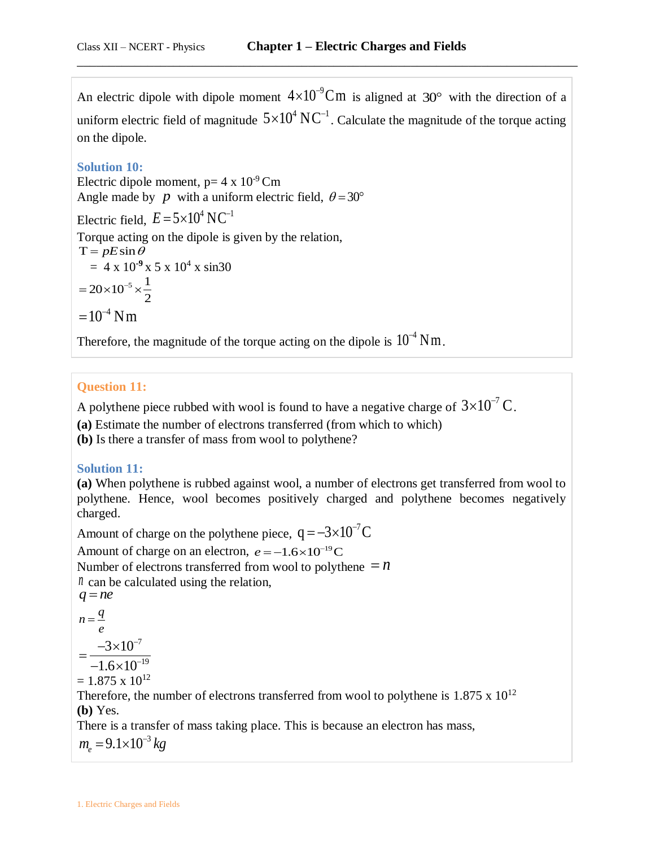An electric dipole with dipole moment  $4\times10^{-9}$ Cm is aligned at 30° with the direction of a uniform electric field of magnitude  $5\times10^4\,\text{NC}^{-1}$ . Calculate the magnitude of the torque acting on the dipole.

\_\_\_\_\_\_\_\_\_\_\_\_\_\_\_\_\_\_\_\_\_\_\_\_\_\_\_\_\_\_\_\_\_\_\_\_\_\_\_\_\_\_\_\_\_\_\_\_\_\_\_\_\_\_\_\_\_\_\_\_\_\_\_\_\_\_\_\_\_\_\_\_\_\_\_\_\_\_

## **Solution 10:**

Electric dipole moment,  $p=4 \times 10^{-9}$  Cm Angle made by p with a uniform electric field,  $\theta = 30^{\circ}$ 

Electric field,  $E = 5 \times 10^4 \text{ N C}^{-1}$ Torque acting on the dipole is given by the relation,  $T = pE\sin\theta$  $= 4 \times 10^{-9} \times 5 \times 10^{4} \times \sin 30$  $20 \times 10^{-5} \times \frac{1}{2}$ 2  $=20\times10^{-5}\times\frac{1}{2}$  $=10^{-4}$  Nm

Therefore, the magnitude of the torque acting on the dipole is  $10^{-4}$  Nm.

## **Question 11:**

A polythene piece rubbed with wool is found to have a negative charge of  $3\times10^{-7}$  C.

**(a)** Estimate the number of electrons transferred (from which to which)

**(b)** Is there a transfer of mass from wool to polythene?

## **Solution 11:**

**(a)** When polythene is rubbed against wool, a number of electrons get transferred from wool to polythene. Hence, wool becomes positively charged and polythene becomes negatively charged.

Amount of charge on the polythene piece,  $q = -3 \times 10^{-7} C$ Amount of charge on an electron,  $e = -1.6 \times 10^{-19}$ C Number of electrons transferred from wool to polythene  $= n$ *n* can be calculated using the relation,  $q = ne$ *q*

$$
n = \frac{q}{e}
$$
  
= 
$$
\frac{-3 \times 10^{-7}}{-1.6 \times 10^{-19}}
$$

 $= 1.875 \times 10^{12}$ 

Therefore, the number of electrons transferred from wool to polythene is  $1.875 \times 10^{12}$ **(b)** Yes.

There is a transfer of mass taking place. This is because an electron has mass,  $m_e = 9.1 \times 10^{-3} kg$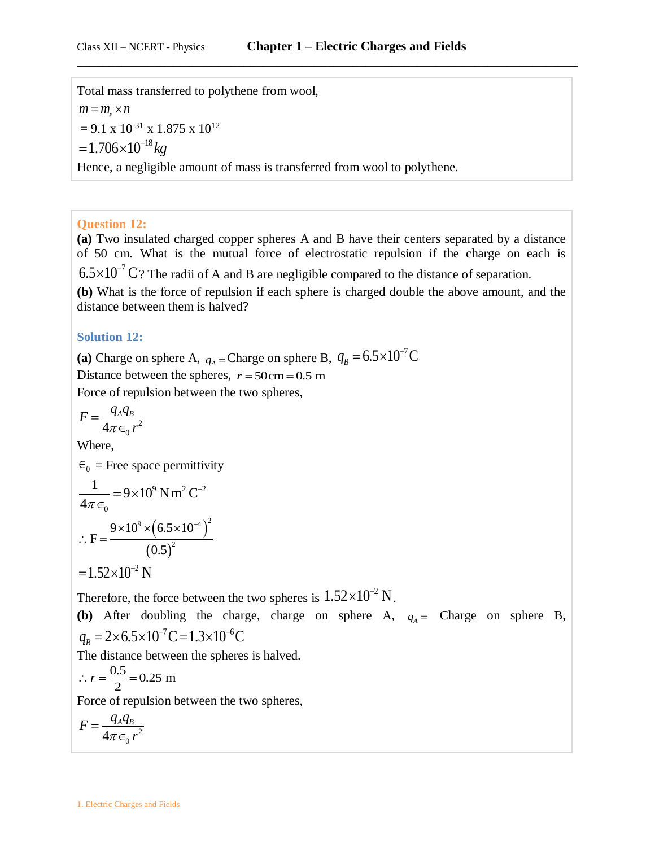Total mass transferred to polythene from wool,  $m = m_e \times n$  $= 9.1 \times 10^{-31} \times 1.875 \times 10^{12}$  $=1.706\times10^{-18}$  kg Hence, a negligible amount of mass is transferred from wool to polythene.

### **Question 12:**

**(a)** Two insulated charged copper spheres A and B have their centers separated by a distance of 50 cm. What is the mutual force of electrostatic repulsion if the charge on each is  $6.5 \times 10^{-7}$  C ? The radii of A and B are negligible compared to the distance of separation. **(b)** What is the force of repulsion if each sphere is charged double the above amount, and the distance between them is halved?

## **Solution 12:**

(a) Charge on sphere A,  $q_A$  = Charge on sphere B,  $q_B = 6.5 \times 10^{-7}$ C Distance between the spheres,  $r = 50 \text{ cm} = 0.5 \text{ m}$ Force of repulsion between the two spheres,

$$
F = \frac{q_A q_B}{4\pi \epsilon_0 r^2}
$$

Where,

 $\epsilon_0$  = Free space permittivity <sup>9</sup> N m<sup>2</sup>  $C^{-2}$  $\overline{0}$  $\frac{1}{1}$  = 9×10<sup>9</sup> Nm<sup>2</sup> C  $4\pi$  $= 9 \times 10^9$  N m<sup>2</sup> C<sup>-1</sup>  $\in$  $(6.5\times10^{-4})^2$  $\frac{(0.5 \times 10)}{(0.5)^2}$  $\frac{9}{2} \times (6.5 \times 10^{-4})^2$ 2  $F = \frac{9 \times 10^{9} \times (6.5 \times 10^{9})}{(0.5 \times 10^{9})^{2}}$ 0.5  $\times10^{9}\times(6.5\times10^{-7})$  $\therefore$  F =  $\frac{9 \times}{9 \times}$  $=1.52\times10^{-2}$  N

Therefore, the force between the two spheres is  $1.52\times10^{-2}$  N.

**(b)** After doubling the charge, charge on sphere A,  $q_A =$  Charge on sphere B,  $q_B = 2 \times 6.5 \times 10^{-7} \text{C} = 1.3 \times 10^{-6} \text{C}$ 

The distance between the spheres is halved.

 $\frac{0.5}{2}$  = 0.25 m  $\therefore$   $r = \frac{0.5}{2} = 0.$ 

Force of repulsion between the two spheres,

$$
F = \frac{q_A q_B}{4\pi \epsilon_0 r^2}
$$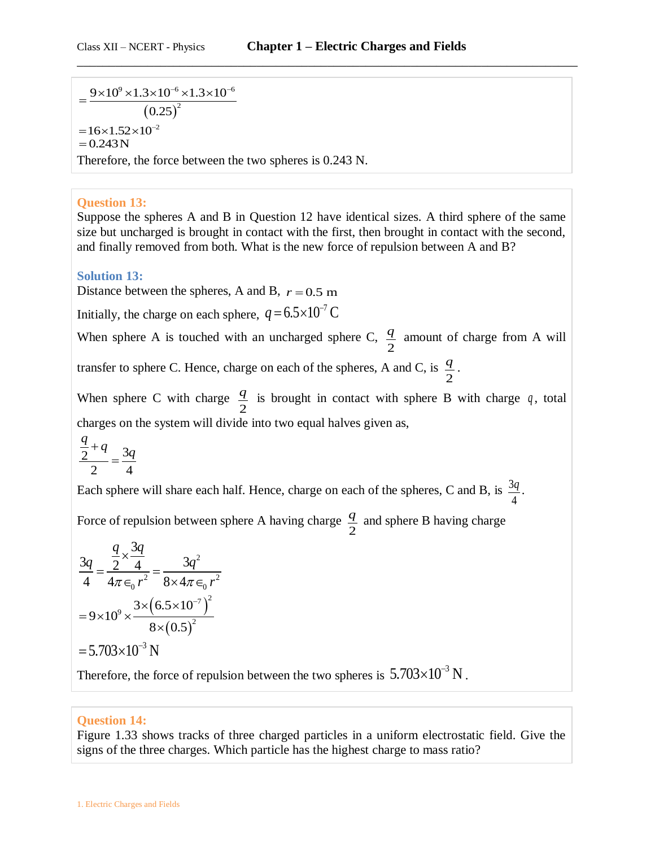$\frac{\sqrt{9} \times 1.3 \times 10^{-6} \times 1.3 \times 10^{-6}}{(0.25)^2}$  $\frac{9 \times 10^{9} \times 1.3 \times 10^{-6} \times 1.3 \times 10}{(0.25)^2}$ 0.25  $=\frac{9\times10^{9}\times1.3\times10^{-6}\times1.3\times10^{-6}}{2}$  $= 16 \times 1.52 \times 10^{-2}$ <br>= 0.243 N Therefore, the force between the two spheres is 0.243 N.

### **Question 13:**

Suppose the spheres A and B in Question 12 have identical sizes. A third sphere of the same size but uncharged is brought in contact with the first, then brought in contact with the second, and finally removed from both. What is the new force of repulsion between A and B?

**Solution 13:**

Distance between the spheres, A and B,  $r = 0.5$  m

Initially, the charge on each sphere,  $q = 6.5 \times 10^{-7}$  C

When sphere A is touched with an uncharged sphere C, 2 *q* amount of charge from A will

transfer to sphere C. Hence, charge on each of the spheres, A and C, is 2 *q* .

When sphere C with charge 2  $\frac{q}{q}$  is brought in contact with sphere B with charge q, total charges on the system will divide into two equal halves given as,

$$
\frac{\frac{q}{2}+q}{2} = \frac{3q}{4}
$$

Each sphere will share each half. Hence, charge on each of the spheres, C and B, is  $\frac{3}{2}$ 4 *q* .

Force of repulsion between sphere A having charge 2 *q* and sphere B having charge

$$
\frac{3q}{4} = \frac{\frac{q}{2} \times \frac{3q}{4}}{4\pi \epsilon_0 r^2} = \frac{3q^2}{8 \times 4\pi \epsilon_0 r^2}
$$

$$
= 9 \times 10^9 \times \frac{3 \times (6.5 \times 10^{-7})^2}{8 \times (0.5)^2}
$$

$$
= 5.703 \times 10^{-3} \text{ N}
$$

Therefore, the force of repulsion between the two spheres is  $5.703\times10^{-3}$  N.

### **Question 14:**

Figure 1.33 shows tracks of three charged particles in a uniform electrostatic field. Give the signs of the three charges. Which particle has the highest charge to mass ratio?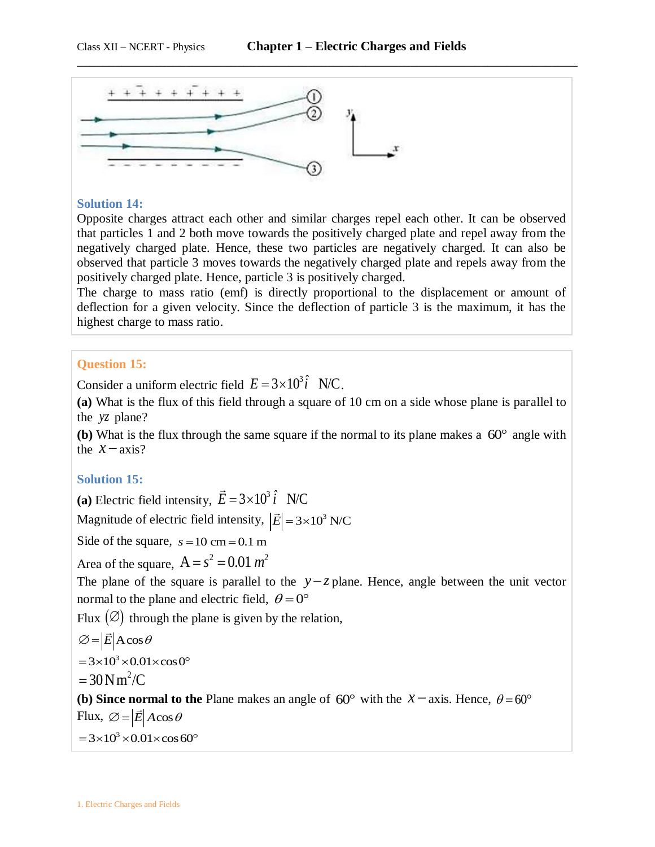

#### **Solution 14:**

Opposite charges attract each other and similar charges repel each other. It can be observed that particles 1 and 2 both move towards the positively charged plate and repel away from the negatively charged plate. Hence, these two particles are negatively charged. It can also be observed that particle 3 moves towards the negatively charged plate and repels away from the positively charged plate. Hence, particle 3 is positively charged.

The charge to mass ratio (emf) is directly proportional to the displacement or amount of deflection for a given velocity. Since the deflection of particle 3 is the maximum, it has the highest charge to mass ratio.

#### **Question 15:**

Consider a uniform electric field  $E = 3 \times 10^3 \hat{i}$  N/C.

**(a)** What is the flux of this field through a square of 10 cm on a side whose plane is parallel to the *yz* plane?

(b) What is the flux through the same square if the normal to its plane makes a  $60^{\circ}$  angle with the  $x - axis$ ?

#### **Solution 15:**

(a) Electric field intensity,  $\vec{E} = 3 \times 10^3 \hat{i}$  N/C

Magnitude of electric field intensity,  $|\vec{E}| = 3 \times 10^3$  N/C

Side of the square,  $s = 10$  cm  $= 0.1$  m

Area of the square,  $A = s^2 = 0.01$   $m^2$ 

The plane of the square is parallel to the  $y-z$  plane. Hence, angle between the unit vector normal to the plane and electric field,  $\theta = 0^{\circ}$ 

Flux  $(\emptyset)$  through the plane is given by the relation,

$$
\varnothing = |\vec{E}| A \cos \theta
$$
  
= 3×10<sup>3</sup> × 0.01×cos 0<sup>o</sup>

 $= 30$  N m<sup>2</sup>/C

**(b) Since normal to the Plane** makes an angle of  $60^{\circ}$  with the  $x - axis$ . Hence,  $\theta = 60^{\circ}$ Flux,  $\varnothing = |\vec{E}| A \cos \theta$ 

 $=3\times10^3\times0.01\times\cos 60^\circ$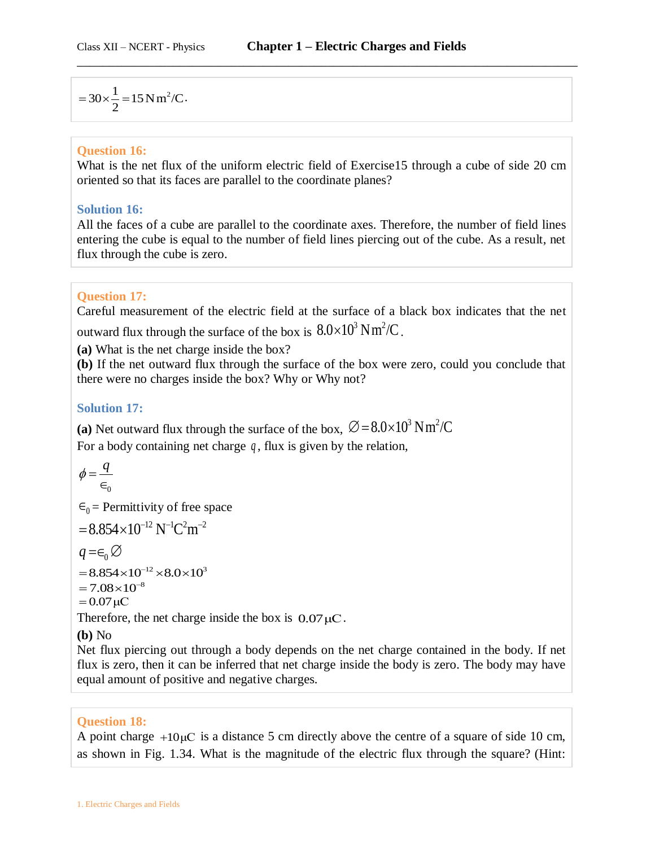$$
= 30 \times \frac{1}{2} = 15 N m^2/C.
$$

### **Question 16:**

What is the net flux of the uniform electric field of Exercise15 through a cube of side 20 cm oriented so that its faces are parallel to the coordinate planes?

\_\_\_\_\_\_\_\_\_\_\_\_\_\_\_\_\_\_\_\_\_\_\_\_\_\_\_\_\_\_\_\_\_\_\_\_\_\_\_\_\_\_\_\_\_\_\_\_\_\_\_\_\_\_\_\_\_\_\_\_\_\_\_\_\_\_\_\_\_\_\_\_\_\_\_\_\_\_

## **Solution 16:**

All the faces of a cube are parallel to the coordinate axes. Therefore, the number of field lines entering the cube is equal to the number of field lines piercing out of the cube. As a result, net flux through the cube is zero.

## **Question 17:**

Careful measurement of the electric field at the surface of a black box indicates that the net outward flux through the surface of the box is  $8.0\times10^3\,\mathrm{N}\,\mathrm{m}^2/\mathrm{C}$  .

**(a)** What is the net charge inside the box?

**(b)** If the net outward flux through the surface of the box were zero, could you conclude that there were no charges inside the box? Why or Why not?

## **Solution 17:**

(a) Net outward flux through the surface of the box,  $\varnothing = 8.0 \times 10^3 \text{ N m}^2/\text{C}$ 

For a body containing net charge  $q$ , flux is given by the relation,

$$
\phi = \frac{q}{\in_{0}}
$$

 $\epsilon_0$  = Permittivity of free space

$$
= 8.854 \times 10^{-12} \, N^{-1} C^2 m^{-2}
$$

 $q = \infty$ 

 $= 8.854 \times 10^{-12} \times 8.0 \times 10^{3}$ <br> $= 7.08 \times 10^{-8}$ 

$$
= 7.08 \times 10^{-}
$$

$$
= 0.07 \,\mu C
$$

$$
= 0.07 \,\mu\mathrm{C}
$$

Therefore, the net charge inside the box is  $0.07 \mu C$ .

### **(b)** No

Net flux piercing out through a body depends on the net charge contained in the body. If net flux is zero, then it can be inferred that net charge inside the body is zero. The body may have equal amount of positive and negative charges.

### **Question 18:**

A point charge  $+10\mu$ C is a distance 5 cm directly above the centre of a square of side 10 cm, as shown in Fig. 1.34. What is the magnitude of the electric flux through the square? (Hint: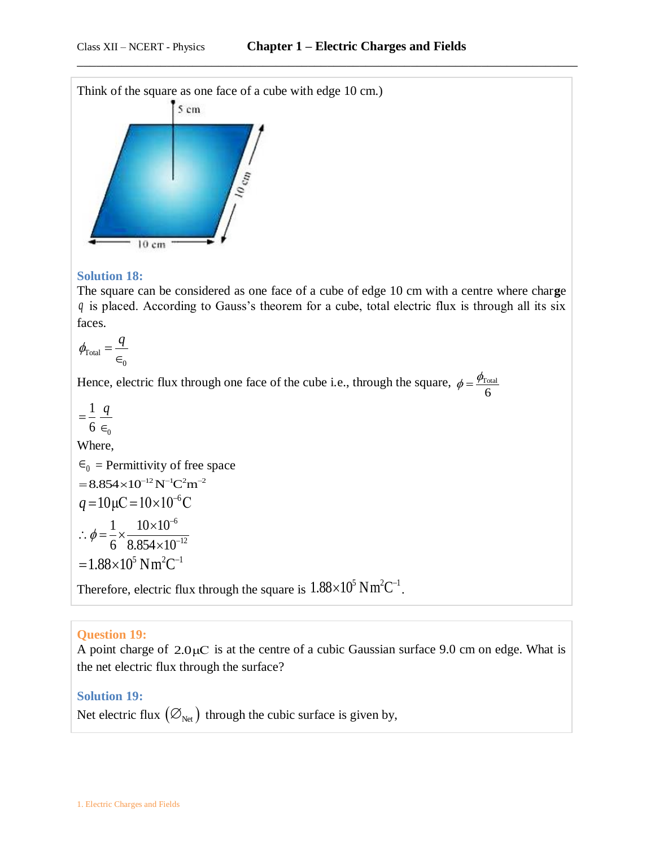

### **Solution 18:**

The square can be considered as one face of a cube of edge 10 cm with a centre where char**g**e *q* is placed. According to Gauss's theorem for a cube, total electric flux is through all its six faces.

$$
\phi_{\text{Total}} = \frac{q}{\epsilon_0}
$$

Hence, electric flux through one face of the cube i.e., through the square,  $\phi = \frac{\phi_{\text{Total}}}{r}$ 6  $\phi = \frac{\phi_{\rm I}}{2}$ 

0 1 6  $=\frac{1}{4}$   $\frac{q}{q}$  $\in$ Where,  $\epsilon_0$  = Permittivity of free space  $= 8.854 \times 10^{-12} \,\mathrm{N}^{-1}\mathrm{C}^2\mathrm{m}^{-2}$  $q = 10 \mu C = 10 \times 10^{-6} C$ 6 12  $1 \times 10 \times 10$  $\phi = \frac{1}{6} \times \frac{10}{100}$ ÷  $\overline{a}$  $\therefore \phi = \frac{1}{2} \times \frac{10 \times}{0.254}$  $\times$  $= 1.88 \times 10^5$  Nm<sup>2</sup>C<sup>-1</sup>

Therefore, electric flux through the square is  $1.88 \times 10^5$  Nm<sup>2</sup>C<sup>-1</sup>.

### **Question 19:**

A point charge of  $2.0\mu$ C is at the centre of a cubic Gaussian surface 9.0 cm on edge. What is the net electric flux through the surface?

## **Solution 19:**

Net electric flux  $\bigl( \varnothing_{\rm Net} \bigr)$  through the cubic surface is given by,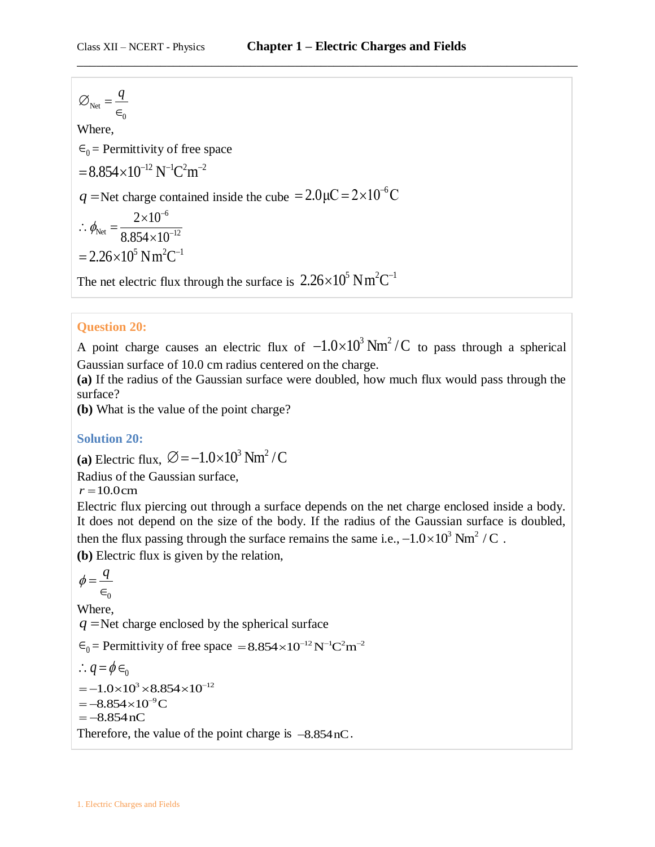$$
\varnothing_{\text{Net}} = \frac{q}{\epsilon_0}
$$
  
Where,  

$$
\epsilon_0 = \text{Permititivity of free space}
$$

$$
= 8.854 \times 10^{-12} \text{ N}^{-1} \text{ C}^2 \text{ m}^{-2}
$$

$$
q = \text{Net charge contained inside the cube } = 2.0 \mu\text{ C} = 2 \times 10^{-6} \text{ C}
$$

$$
\therefore \phi_{\text{Net}} = \frac{2 \times 10^{-6}}{8.854 \times 10^{-12}}
$$

$$
= 2.26 \times 10^5 \text{ N m}^2 \text{ C}^{-1}
$$
  
The net electric flux through the surface is 2.26×10<sup>5</sup> N m<sup>2</sup> C<sup>-1</sup>

## **Question 20:**

A point charge causes an electric flux of  $-1.0 \times 10^3$  Nm<sup>2</sup>/C to pass through a spherical Gaussian surface of 10.0 cm radius centered on the charge.

**(a)** If the radius of the Gaussian surface were doubled, how much flux would pass through the surface?

**(b)** What is the value of the point charge?

### **Solution 20:**

(a) Electric flux,  $\varnothing = -1.0 \times 10^3 \text{ Nm}^2/\text{C}$ 

Radius of the Gaussian surface,

 $r = 10.0cm$ 

Electric flux piercing out through a surface depends on the net charge enclosed inside a body. It does not depend on the size of the body. If the radius of the Gaussian surface is doubled, then the flux passing through the surface remains the same i.e.,  $-1.0 \times 10^3$  Nm<sup>2</sup> / C.

**(b)** Electric flux is given by the relation,

 $\in_0$  $\phi = \frac{q}{q}$ Where, *q* Net charge enclosed by the spherical surface  $\epsilon_0$  = Permittivity of free space = 8.854 × 10<sup>-12</sup> N<sup>-1</sup>C<sup>2</sup>m<sup>-2</sup>  $\therefore q = \phi \in \Omega$  $= -1.0 \times 10^{3} \times 8.854 \times 10^{-12}$  $= -8.854 \times 10^{-9}$ C<br>=  $-8.854$  nC Therefore, the value of the point charge is  $-8.854$  nC.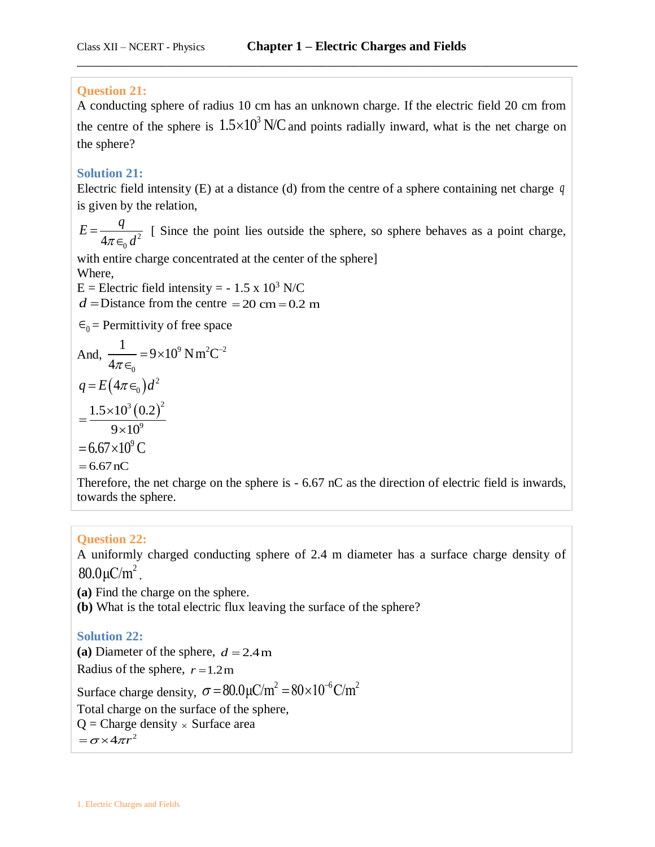## **Question 21:**

A conducting sphere of radius 10 cm has an unknown charge. If the electric field 20 cm from the centre of the sphere is  $1.5 \times 10^3$  N/C and points radially inward, what is the net charge on the sphere?

\_\_\_\_\_\_\_\_\_\_\_\_\_\_\_\_\_\_\_\_\_\_\_\_\_\_\_\_\_\_\_\_\_\_\_\_\_\_\_\_\_\_\_\_\_\_\_\_\_\_\_\_\_\_\_\_\_\_\_\_\_\_\_\_\_\_\_\_\_\_\_\_\_\_\_\_\_\_

## **Solution 21:**

Electric field intensity (E) at a distance (d) from the centre of a sphere containing net charge *q* is given by the relation,

 $4\pi\epsilon_0 d^2$ *q E*  $\pi \in \mathcal{A}$  $=$  $\in$ [ Since the point lies outside the sphere, so sphere behaves as a point charge,

with entire charge concentrated at the center of the sphere] Where,

E = Electric field intensity =  $-1.5 \times 10^3$  N/C  $d =$ Distance from the centre  $= 20$  cm  $= 0.2$  m

 $\epsilon_0$  = Permittivity of free space

And, 
$$
\frac{1}{4\pi\epsilon_0} = 9 \times 10^9 \text{ N m}^2\text{C}^{-2}
$$
  
\n
$$
q = E(4\pi\epsilon_0)d^2
$$
\n
$$
= \frac{1.5 \times 10^3 (0.2)^2}{9 \times 10^9}
$$
\n
$$
= 6.67 \times 10^9 \text{ C}
$$
\n
$$
= 6.67 \text{ nC}
$$

Therefore, the net charge on the sphere is - 6.67 nC as the direction of electric field is inwards, towards the sphere.

## **Question 22:**

A uniformly charged conducting sphere of 2.4 m diameter has a surface charge density of  $80.0 \mu C/m^2$ .

**(a)** Find the charge on the sphere.

**(b)** What is the total electric flux leaving the surface of the sphere?

### **Solution 22:**

(a) Diameter of the sphere,  $d = 2.4$  m Radius of the sphere,  $r = 1.2$  m Surface charge density,  $\sigma = 80.0 \mu C/m^2 = 80 \times 10^{-6} C/m^2$ Total charge on the surface of the sphere,  $Q =$ Charge density  $\times$  Surface area

 $=\sigma \times 4\pi r^2$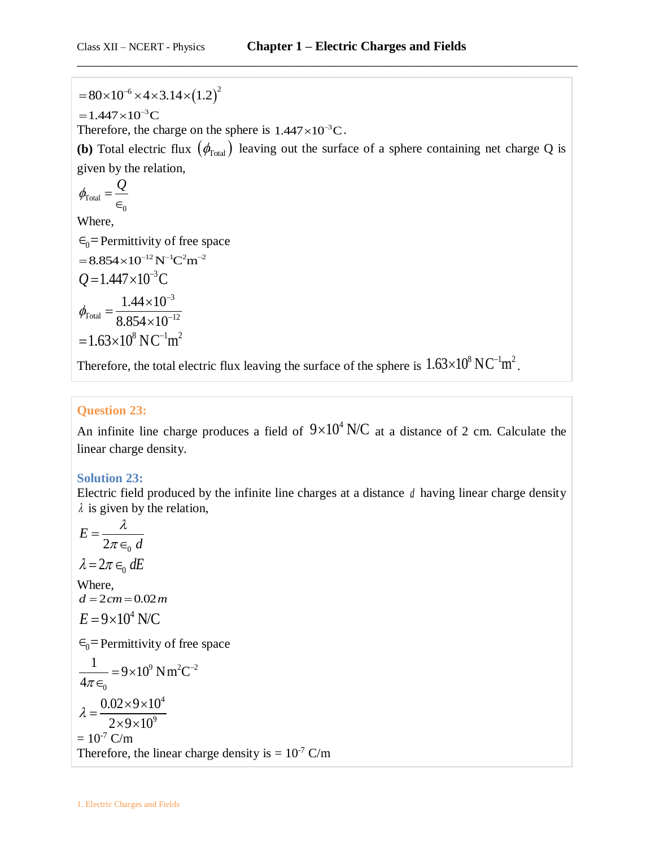$= 80 \times 10^{-6} \times 4 \times 3.14 \times (1.2)^2$ 

 $=1.447\times10^{-3}C$ 

Therefore, the charge on the sphere is  $1.447 \times 10^{-3}$ C.

**(b)** Total electric flux  $(\phi_{\text{Total}})$  leaving out the surface of a sphere containing net charge Q is given by the relation,

\_\_\_\_\_\_\_\_\_\_\_\_\_\_\_\_\_\_\_\_\_\_\_\_\_\_\_\_\_\_\_\_\_\_\_\_\_\_\_\_\_\_\_\_\_\_\_\_\_\_\_\_\_\_\_\_\_\_\_\_\_\_\_\_\_\_\_\_\_\_\_\_\_\_\_\_\_\_

$$
\phi_{\text{Total}} = \frac{Q}{\epsilon_0}
$$

Where,

 $\epsilon_0$ = Permittivity of free space

$$
= 8.854 \times 10^{-12} \text{ N}^{-1} \text{C}^2 \text{m}^{-2}
$$
  
\n
$$
Q = 1.447 \times 10^{-3} \text{C}
$$
  
\n
$$
\phi_{\text{Total}} = \frac{1.44 \times 10^{-3}}{8.854 \times 10^{-12}}
$$
  
\n= 1.63×10<sup>8</sup> N C<sup>-1</sup> m<sup>2</sup>

Therefore, the total electric flux leaving the surface of the sphere is  $1.63\times10^8$  NC<sup>-1</sup>m<sup>2</sup>.

## **Question 23:**

An infinite line charge produces a field of  $9\times10^4$  N/C at a distance of 2 cm. Calculate the linear charge density.

## **Solution 23:**

Electric field produced by the infinite line charges at a distance *d* having linear charge density  $\lambda$  is given by the relation,

$$
= 80 \times 10^{-6} \times 4 \times 3.14 \times (1.2)^{2}
$$
  
= 1.447×10<sup>-3</sup>C  
Therefore, the charge on the sphere is 1.447×10<sup>-3</sup>  
(**b**) Total electric flux ( $\phi_{\text{Total}}$ ) leaving out the su  
given by the relation,  
 $\phi_{\text{Total}} = \frac{Q}{\epsilon_{0}}$   
Where,  
 $\epsilon_{0}$ = Permittivity of free space  
= 8.854×10<sup>-12</sup> N<sup>-1</sup>C<sup>2</sup>m<sup>-2</sup>  
 $Q = 1.447 \times 10^{-3}$ C  
 $\phi_{\text{Total}} = \frac{1.44 \times 10^{-3}}{8.854 \times 10^{-12}}$   
= 1.63×10<sup>8</sup> N C<sup>-1</sup>m<sup>2</sup>  
Therefore, the total electric flux leaving the surface  
Question 23:  
An infinite line charge produces a field of 9×1  
linear charge density.  
Solution 23:  
Electric field produced by the infinite line charge  
 $\lambda$  is given by the relation,  
 $E = \frac{\lambda}{2\pi \epsilon_{0} d}$   
 $\lambda = 2\pi \epsilon_{0} dE$   
Where,  
 $d = 2c$ m = 0.02m  
 $E = 9 \times 10^{4}$  N/C  
 $\epsilon_{0}$ = Permitivity of free space  
 $\frac{1}{4\pi \epsilon_{0}} = 9 \times 10^{9}$  N m<sup>2</sup>C<sup>-2</sup>  
 $\lambda = \frac{0.02 \times 9 \times 10^{4}}{2 \times 9 \times 10^{9}}$   
= 10<sup>-7</sup> C/m  
Therefore, the linear charge density is = 10<sup>-7</sup> C/m  
Therefore, the linear charge density is = 10<sup>-7</sup> C/m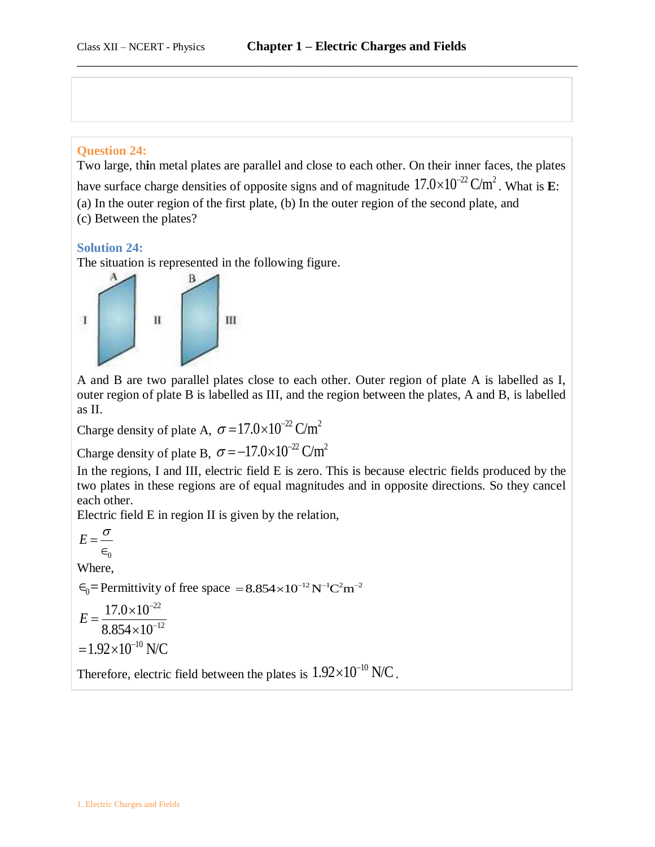#### **Question 24:**

Two large, th**i**n metal plates are parallel and close to each other. On their inner faces, the plates have surface charge densities of opposite signs and of magnitude  $17.0 \times 10^{-22}$  C/m<sup>2</sup>. What is **E**: (a) In the outer region of the first plate, (b) In the outer region of the second plate, and (c) Between the plates?

#### **Solution 24:**

The situation is represented in the following figure.



A and B are two parallel plates close to each other. Outer region of plate A is labelled as I, outer region of plate B is labelled as III, and the region between the plates, A and B, is labelled as II.

Charge density of plate A,  $\sigma = 17.0 \times 10^{-22}$  C/m<sup>2</sup>

Charge density of plate B,  $\sigma = -17.0 \times 10^{-22}$  C/m<sup>2</sup>

In the regions, I and III, electric field E is zero. This is because electric fields produced by the two plates in these regions are of equal magnitudes and in opposite directions. So they cancel each other.

Electric field E in region II is given by the relation,

 $\in_0$  $E=\frac{\sigma}{\sigma}$ Where,  $\epsilon_0$  = Permittivity of free space = 8.854×10<sup>-12</sup> N<sup>-1</sup>C<sup>2</sup>m<sup>-2</sup> 22 12  $17.0 \times 10$  $8.854 \times 10$ *E* ÷  $\overline{a}$  $\times$  $=$  $\times$  $=1.92\times10^{-10}$  N/C

Therefore, electric field between the plates is  $1.92\times10^{-10}$  N/C.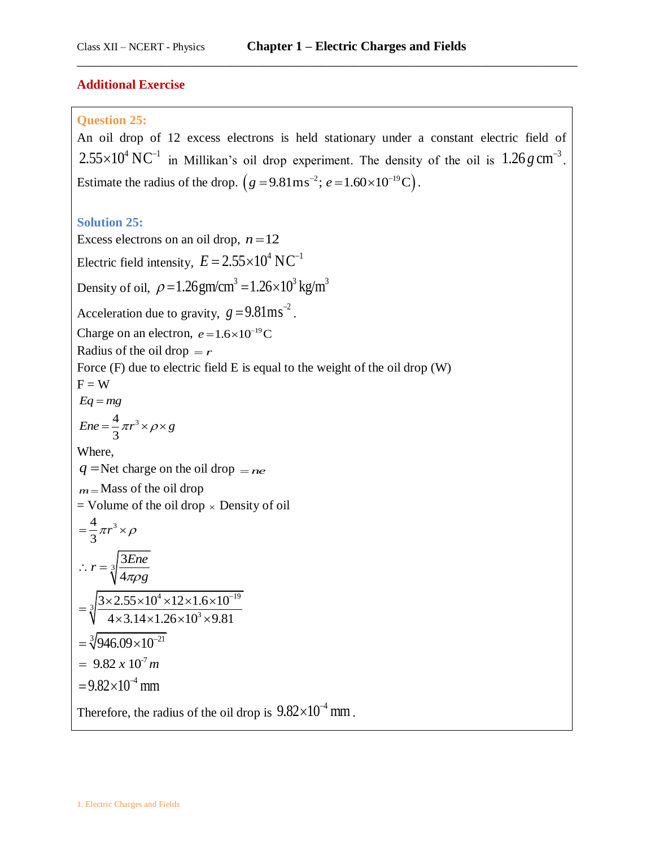#### **Additional Exercise**

#### **Question 25:**

An oil drop of 12 excess electrons is held stationary under a constant electric field of  $2.55 \times 10^4 \text{ N C}^{-1}$  in Millikan's oil drop experiment. The density of the oil is  $1.26 g \text{ cm}^{-3}$ . Estimate the radius of the drop.  $(g = 9.81 \text{ m/s}^2; e = 1.60 \times 10^{-19} \text{ C})$ .

\_\_\_\_\_\_\_\_\_\_\_\_\_\_\_\_\_\_\_\_\_\_\_\_\_\_\_\_\_\_\_\_\_\_\_\_\_\_\_\_\_\_\_\_\_\_\_\_\_\_\_\_\_\_\_\_\_\_\_\_\_\_\_\_\_\_\_\_\_\_\_\_\_\_\_\_\_\_

#### **Solution 25:**

Excess electrons on an oil drop,  $n = 12$ Electric field intensity,  $E = 2.55 \times 10^4 \text{ N C}^{-1}$ Density of oil,  $\rho = 1.26$ gm/cm<sup>3</sup> =  $1.26 \times 10^3$  kg/m<sup>3</sup> Acceleration due to gravity,  $g = 9.81 \text{ms}^{-2}$ . Charge on an electron,  $e = 1.6 \times 10^{-19}$ C Radius of the oil drop  $= r$ Force (F) due to electric field E is equal to the weight of the oil drop (W)  $F = W$  $Eq = mg$  $4 \frac{3}{50}$  $Ene = \frac{4}{3}\pi r^3 \times \rho \times g$ Where,  $q =$ Net charge on the oil drop  $=$  *ne m* Mass of the oil drop  $=$  Volume of the oil drop  $\times$  Density of oil  $4 \frac{3}{50}$ 3  $=\frac{4}{3}\pi r^3 \times \rho$  $\frac{3}{3}$ 4  $r = \sqrt[3]{\frac{3Ene}{1}}$  $\pi \rho g$  $\therefore r = \frac{3}{4}$  $4 \times 12 \times 16 \times 10^{-19}$  $\sqrt[3]{\frac{3 \times 2.55 \times 10^4 \times 12 \times 1.6 \times 10}{4 \times 2.14 \times 1.25 \times 10^3 \times 0.8}}$  $\times 2.55 \times 10^4 \times 12 \times 1.6 \times 10^{-7}$ <br>4 × 3.14 × 1.26 × 10<sup>3</sup> × 9.81  $=\sqrt[3]{\frac{3\times2.55\times10^{4}\times12\times1.6\times10^{-19}\times1.0\times10^{3}\times9.81}{4\times3.14\times1.26\times10^{3}\times9.81}}$  $=\sqrt[3]{946.09\times10^{-21}}$  $= 9.82 \times 10^{-7} m$  $= 9.82 \times 10^{-4}$  mm Therefore, the radius of the oil drop is  $9.82 \times 10^{-4}$  mm.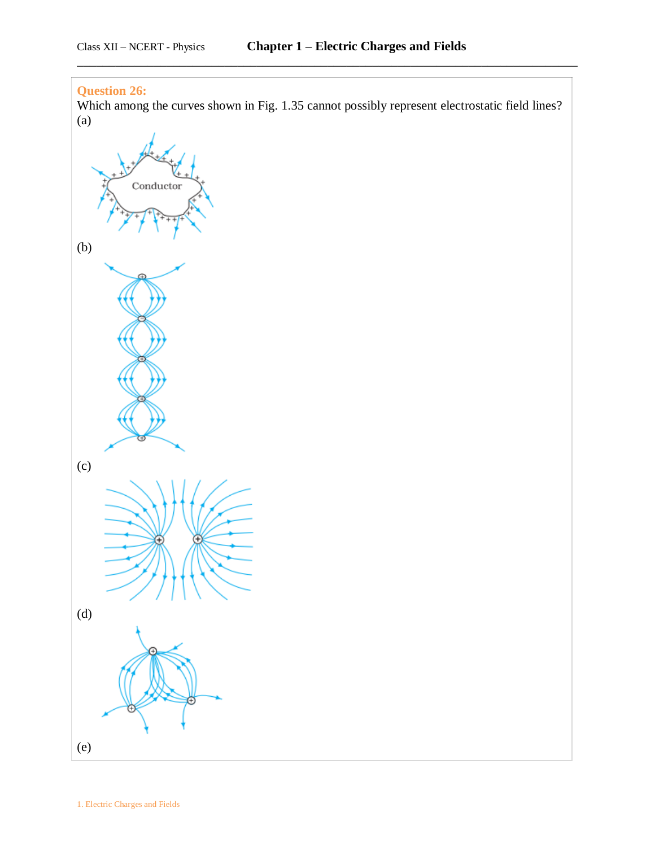## **Question 26:**

Which among the curves shown in Fig. 1.35 cannot possibly represent electrostatic field lines? (a)

\_\_\_\_\_\_\_\_\_\_\_\_\_\_\_\_\_\_\_\_\_\_\_\_\_\_\_\_\_\_\_\_\_\_\_\_\_\_\_\_\_\_\_\_\_\_\_\_\_\_\_\_\_\_\_\_\_\_\_\_\_\_\_\_\_\_\_\_\_\_\_\_\_\_\_\_\_\_

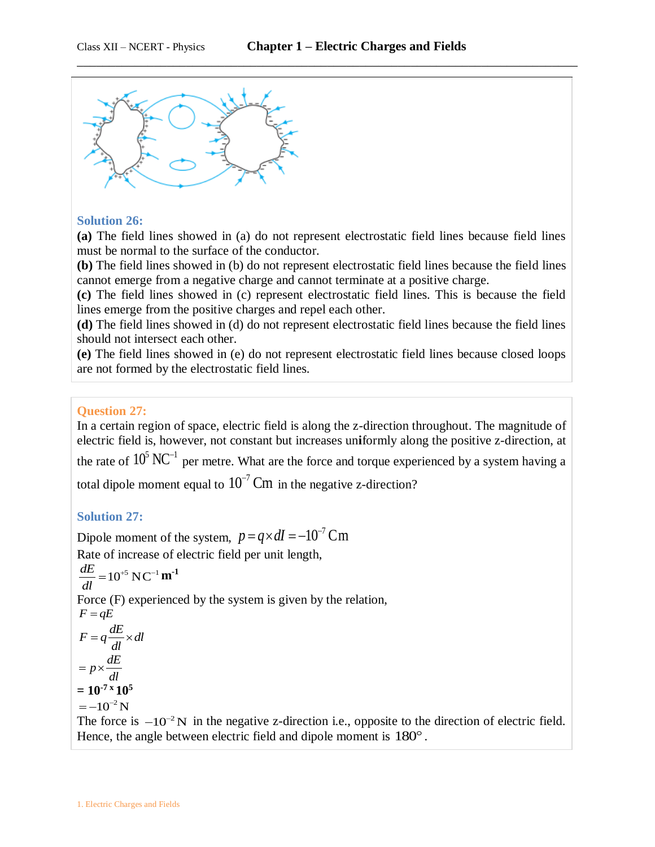

### **Solution 26:**

**(a)** The field lines showed in (a) do not represent electrostatic field lines because field lines must be normal to the surface of the conductor.

**(b)** The field lines showed in (b) do not represent electrostatic field lines because the field lines cannot emerge from a negative charge and cannot terminate at a positive charge.

**(c)** The field lines showed in (c) represent electrostatic field lines. This is because the field lines emerge from the positive charges and repel each other.

**(d)** The field lines showed in (d) do not represent electrostatic field lines because the field lines should not intersect each other.

**(e)** The field lines showed in (e) do not represent electrostatic field lines because closed loops are not formed by the electrostatic field lines.

#### **Question 27:**

In a certain region of space, electric field is along the z-direction throughout. The magnitude of electric field is, however, not constant but increases un**i**formly along the positive z-direction, at the rate of  $10^5$  NC<sup>-1</sup> per metre. What are the force and torque experienced by a system having a total dipole moment equal to  $10^{-7}$  Cm in the negative z-direction?

### **Solution 27:**

Dipole moment of the system,  $p = q \times dI = -10^{-7}$  Cm Rate of increase of electric field per unit length,  $\frac{dE}{dt} = 10^{+5} \text{ N C}^{-1}$ *dl*  $=10^{+5}$  NC<sup>-1</sup>  $m^{-1}$ Force (F) experienced by the system is given by the relation,  $F = qE$  $F = q \frac{dE}{dt} \times dl$ *dl*  $=q\frac{dE}{dt}\times c$  $p \times \frac{dE}{dt}$ *dl*  $= p \times$  $= 10^{-7}$ <sup>x</sup>  $10^5$  $=-10^{-2}$  N The force is  $-10^{-2}$ N in the negative z-direction i.e., opposite to the direction of electric field. Hence, the angle between electric field and dipole moment is  $180^\circ$ .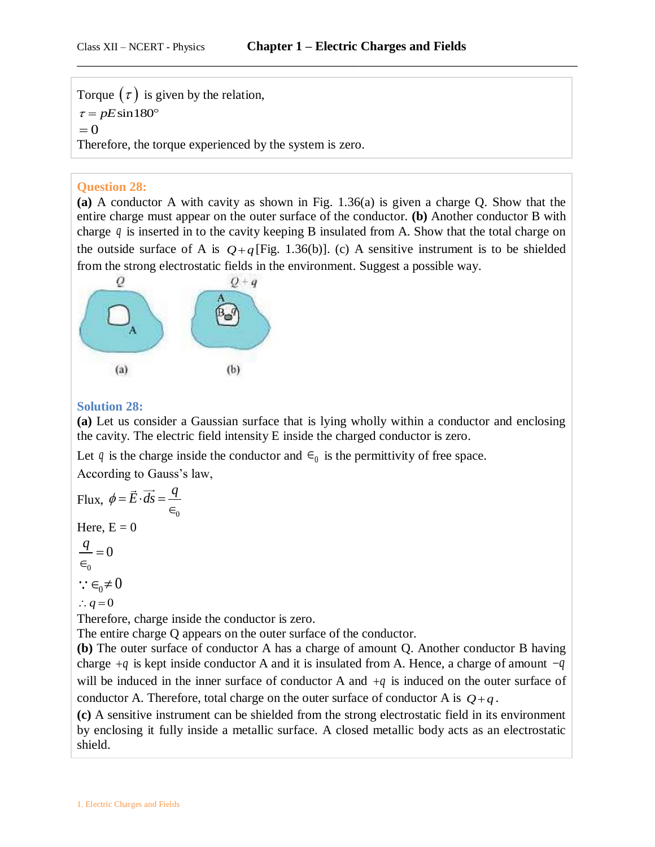Torque  $(\tau)$  is given by the relation,  $\tau = pE\sin 180^\circ$  $= 0$ Therefore, the torque experienced by the system is zero.

## **Question 28:**

**(a)** A conductor A with cavity as shown in Fig. 1.36(a) is given a charge Q. Show that the entire charge must appear on the outer surface of the conductor. **(b)** Another conductor B with charge *q* is inserted in to the cavity keeping B insulated from A. Show that the total charge on the outside surface of A is  $Q+q$  [Fig. 1.36(b)]. (c) A sensitive instrument is to be shielded from the strong electrostatic fields in the environment. Suggest a possible way.



## **Solution 28:**

**(a)** Let us consider a Gaussian surface that is lying wholly within a conductor and enclosing the cavity. The electric field intensity E inside the charged conductor is zero.

Let q is the charge inside the conductor and  $\epsilon_0$  is the permittivity of free space.

According to Gauss's law,

Flux, 
$$
\phi = \vec{E} \cdot \vec{ds} = \frac{q}{\epsilon_0}
$$
  
\nHere, E = 0  
\n $\frac{q}{\epsilon_0} = 0$   
\n∴  $\epsilon_0 \neq 0$   
\n∴  $q = 0$ 

Therefore, charge inside the conductor is zero.

The entire charge Q appears on the outer surface of the conductor.

**(b)** The outer surface of conductor A has a charge of amount Q. Another conductor B having charge  $+q$  is kept inside conductor A and it is insulated from A. Hence, a charge of amount  $-q$ will be induced in the inner surface of conductor A and  $+q$  is induced on the outer surface of conductor A. Therefore, total charge on the outer surface of conductor A is  $Q+q$ .

**(c)** A sensitive instrument can be shielded from the strong electrostatic field in its environment by enclosing it fully inside a metallic surface. A closed metallic body acts as an electrostatic shield.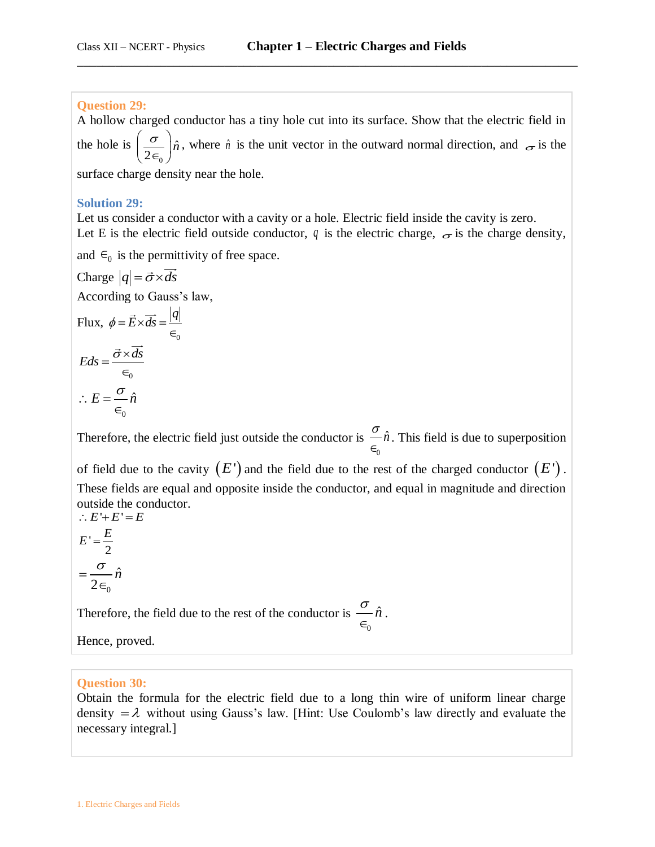### **Question 29:**

A hollow charged conductor has a tiny hole cut into its surface. Show that the electric field in the hole is 0  $\hat{n}$ 2  $\left(\frac{\sigma}{\sigma}\right)_{\hat{n}}$  $\left(\frac{\partial}{2\epsilon_0}\right)\hat{n}$ , where  $\hat{n}$  is the unit vector in the outward normal direction, and  $\epsilon_0$  is the surface charge density near the hole.

\_\_\_\_\_\_\_\_\_\_\_\_\_\_\_\_\_\_\_\_\_\_\_\_\_\_\_\_\_\_\_\_\_\_\_\_\_\_\_\_\_\_\_\_\_\_\_\_\_\_\_\_\_\_\_\_\_\_\_\_\_\_\_\_\_\_\_\_\_\_\_\_\_\_\_\_\_\_

### **Solution 29:**

Let us consider a conductor with a cavity or a hole. Electric field inside the cavity is zero. Let E is the electric field outside conductor,  $q$  is the electric charge,  $\sigma$  is the charge density,

and  $\epsilon_0$  is the permittivity of free space.

Charge  $|q| = \vec{\sigma} \times \vec{ds}$ According to Gauss's law, Flux, 0  $\phi = \vec{E} \times \vec{ds} = \frac{|q|}{4}$  $\in$  $\mathbf{0}$  $Eds = \frac{\vec{\sigma} \times \vec{ds}}{g}$  $\in$  $\therefore E = \frac{\sigma}{n} \hat{n}$  $\in$ 

 $\mathbf{0}$ 

Therefore, the electric field just outside the conductor is  $\frac{\sigma}{n}$  $\mathbf{0}$  $\in_{\mathfrak{c}}$ . This field is due to superposition

of field due to the cavity  $(E')$  and the field due to the rest of the charged conductor  $(E')$ . These fields are equal and opposite inside the conductor, and equal in magnitude and direction outside the conductor.  $\therefore$  *E* '+ *E*' = *E* 

$$
E' = \frac{E}{2}
$$

$$
= \frac{\sigma}{2\epsilon_0} \hat{n}
$$

Therefore, the field due to the rest of the conductor is  $\frac{\sigma}{n}$ 0  $\in$ .

Hence, proved.

### **Question 30:**

Obtain the formula for the electric field due to a long thin wire of uniform linear charge density  $=\lambda$  without using Gauss's law. [Hint: Use Coulomb's law directly and evaluate the necessary integral.]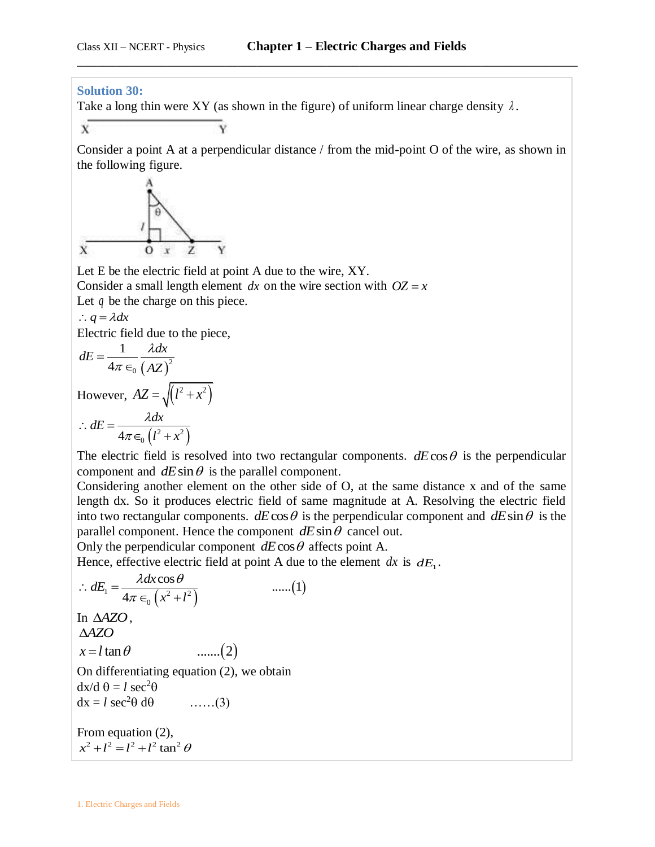#### **Solution 30:**

Take a long thin were XY (as shown in the figure) of uniform linear charge density  $\lambda$ .

 $\bar{x}$ 

Consider a point A at a perpendicular distance / from the mid-point O of the wire, as shown in the following figure.

\_\_\_\_\_\_\_\_\_\_\_\_\_\_\_\_\_\_\_\_\_\_\_\_\_\_\_\_\_\_\_\_\_\_\_\_\_\_\_\_\_\_\_\_\_\_\_\_\_\_\_\_\_\_\_\_\_\_\_\_\_\_\_\_\_\_\_\_\_\_\_\_\_\_\_\_\_\_



Let E be the electric field at point A due to the wire, XY.

Consider a small length element dx on the wire section with  $OZ = x$ 

Let  $q$  be the charge on this piece.

$$
\therefore q = \lambda dx
$$

Electric field due to the piece,

$$
dE = \frac{1}{4\pi \epsilon_0} \frac{\lambda dx}{(AZ)^2}
$$
  
However,  $AZ = \sqrt{(l^2 + x^2)}$   

$$
\therefore dE = \frac{\lambda dx}{4\pi \epsilon_0 (l^2 + x^2)}
$$

The electric field is resolved into two rectangular components.  $dE\cos\theta$  is the perpendicular component and  $dE \sin \theta$  is the parallel component.

Considering another element on the other side of O, at the same distance x and of the same length dx. So it produces electric field of same magnitude at A. Resolving the electric field into two rectangular components.  $dE \cos \theta$  is the perpendicular component and  $dE \sin \theta$  is the parallel component. Hence the component  $dE \sin \theta$  cancel out.

Only the perpendicular component  $dE \cos \theta$  affects point A.

Solving the perpendicular complement at *z* cos *z* and *z* is *ωE*<sub>1</sub>.  
\nHence, effective electric field at point A due to the element dx is 
$$
dE_1
$$
.  
\n
$$
\therefore dE_1 = \frac{\lambda dx \cos \theta}{4\pi \epsilon_0 (x^2 + l^2)}
$$
 ......(1)  
\nIn Δ*AZO*,  
\nΔ*AZO*  
\n $x = l \tan \theta$  ......(2)  
\nOn differentiating equation (2), we obtain  
\n $dx/d \theta = l \sec^2 \theta$   
\n $dx = l \sec^2 \theta d\theta$  ......(3)  
\nFrom equation (2),  
\n $x^2 + l^2 = l^2 + l^2 \tan^2 \theta$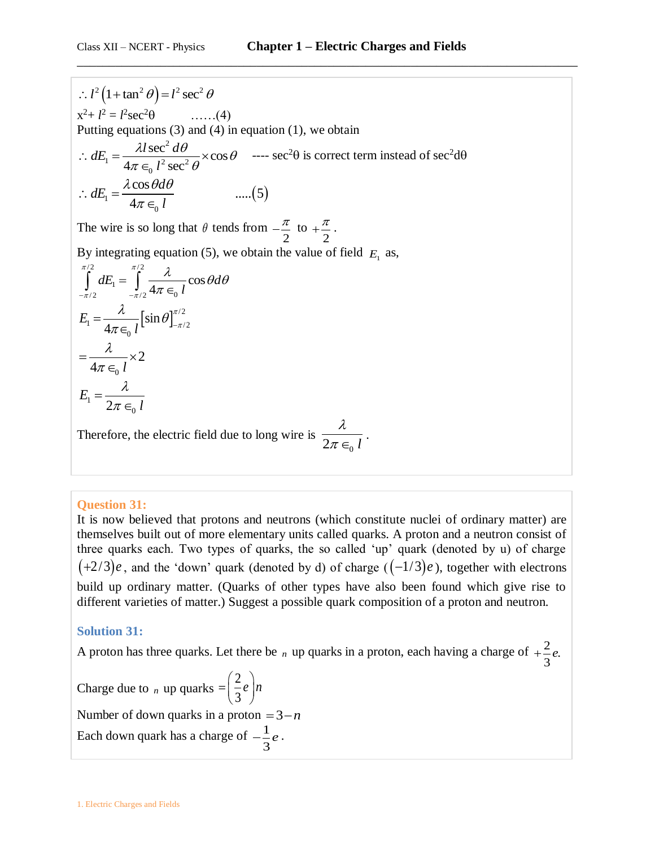$x^2 + l^2 = l^2 \sec^2 \theta$  ......(4) Putting equations  $(3)$  and  $(4)$  in equation  $(1)$ , we obtain 2  $\sum_{1}^{\infty} = \frac{7a \sec^2 \alpha c}{4\pi \epsilon_0 l^2 \sec^2 \alpha}$  $\frac{\lambda l \sec^2 d\theta}{4\pi \epsilon_0 l^2 \sec^2 \theta} \times \cos$ tting equations (3)<br> $dE_1 = \frac{\lambda l \sec^2 d}{l^2}$ *l* uations (3) and (4) in<br>  $\frac{\lambda l \sec^2 d\theta}{\pi \epsilon_0 l^2 \sec^2 \theta} \times \cos \theta$  $\therefore dE_1 = \frac{\lambda l \sec^2 d\theta}{4\pi \epsilon_0 l^2 \sec^2 \theta} \times$ ----  $\sec^2\theta$  is correct term instead of  $\sec^2\theta$  $\frac{4\pi \epsilon_0 l^2 \sec^2 \theta}{4\pi \epsilon_0 l}$  .....(5)  $\frac{\cos \theta d\theta}{4\pi \epsilon_0 l}$  ......(5 *d dE l*  $4\pi \in 2^2$  sec<sup>2</sup>  $\theta$ <br> $\lambda \cos \theta d\theta$  $\therefore dE_1 = \frac{\lambda \cos \theta}{4\pi \epsilon_0}$ 

The wire is so long that  $\theta$  tends from 2  $-\frac{\pi}{2}$  to 2  $+\frac{\pi}{2}$ .

By integrating equation (5), we obtain the value of field  $E_1$  as,

$$
l^{2}(1 + \tan^{2} \theta) = l^{2} \sec^{2} \theta
$$
  
\n
$$
x^{2} + l^{2} = l^{2} \sec^{2} \theta
$$
 ......(4)  
\nPutting equations (3) and (4) in e  
\n
$$
\therefore dE_{1} = \frac{\lambda l \sec^{2} d\theta}{4\pi \epsilon_{0} l^{2} \sec^{2} \theta} \times \cos \theta
$$
  
\n
$$
\therefore dE_{1} = \frac{\lambda \cos \theta d\theta}{4\pi \epsilon_{0} l}
$$
 ......  
\nThe wire is so long that  $\theta$  tends f  
\nBy integrating equation (5), we o  
\n
$$
\int_{-\pi/2}^{\pi/2} dE_{1} = \int_{-\pi/2}^{\pi/2} \frac{\lambda}{4\pi \epsilon_{0} l} \cos \theta d\theta
$$
  
\n
$$
E_{1} = \frac{\lambda}{4\pi \epsilon_{0} l} [\sin \theta]_{-\pi/2}^{\pi/2}
$$
  
\n
$$
= \frac{\lambda}{4\pi \epsilon_{0} l} \times 2
$$
  
\n
$$
E_{1} = \frac{\lambda}{2\pi \epsilon_{0} l}
$$
  
\nTherefore, the electric field due to  
\n**Question 31:**  
\nIt is now believed that protons a  
\nthemselves built out of more eler  
\nthree quarks each. Two types o  
\n(+2/3)*e*, and the 'down' quark  
\nbuild up ordinary matter. (Quar  
\ndifferent varieties of matter.) Sug  
\n**Solution 31:**  
\nA proton has three quarks. Let the  
\nChange due to *n* up quarks =  $\begin{pmatrix} 2 \\ 3 \\ 3 \end{pmatrix}$   
\nNumber of down quarks in a prot  
\nEach down quark has a charge of  
\n
$$
l \text{. Electric C} \text{B} \text{ of } \text{B} \text{ and } \text{Fields}
$$

Therefore, the electric field due to long wire is  $2\pi \in_{0}$  *l*  $\lambda$  $\frac{\pi}{\pi \epsilon_0 l}$ .

## **Question 31:**

It is now believed that protons and neutrons (which constitute nuclei of ordinary matter) are themselves built out of more elementary units called quarks. A proton and a neutron consist of three quarks each. Two types of quarks, the so called 'up' quark (denoted by u) of charge  $(+2/3)e$ , and the 'down' quark (denoted by d) of charge  $((-1/3)e)$ , together with electrons build up ordinary matter. (Quarks of other types have also been found which give rise to different varieties of matter.) Suggest a possible quark composition of a proton and neutron.

## **Solution 31:**

A proton has three quarks. Let there be  $_n$  up quarks in a proton, each having a charge of  $+\frac{2}{3}e$ . 3  $+\frac{2}{3}e$ 

Charge due to  $_n$  up quarks 2 3  $=\left(\frac{2}{3}e\right)n$ Number of down quarks in a proton  $=3-n$ Each down quark has a charge of  $-\frac{1}{x}$ 3  $-\frac{1}{2}e$ .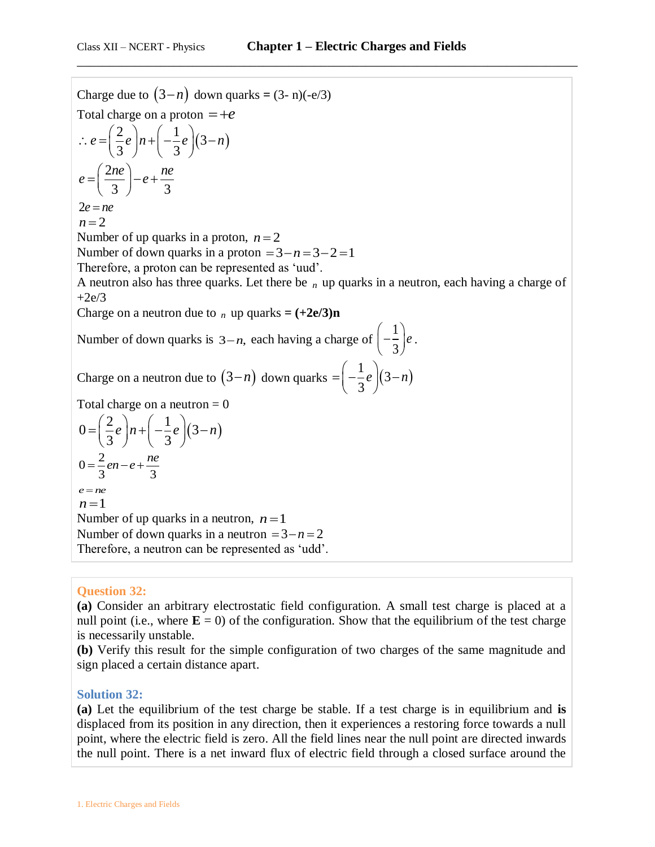Charge due to  $(3-n)$  down quarks =  $(3-n)(-e/3)$ Total charge on a proton  $=+e$ arge on a proton  $-\pm e$ <br>  $\frac{2}{3}e\left| n+\left(-\frac{1}{3}e\right)(3-n)\right|$  $\frac{2}{3}e^{n+\left(-\frac{1}{3}\right)}$ rotal charge on a proton  $-\pi e$ <br>  $\therefore e = \left(\frac{2}{3}e\right)n + \left(-\frac{1}{3}e\right)(3-n)$ 2  $\frac{1}{3}$   $\int$  =  $e + \frac{1}{3}$ *ne* a *ne*  $e = \left(\frac{2ne}{3}\right) - e + \frac{n}{3}$ 2*e ne*  $n = 2$ Number of up quarks in a proton,  $n = 2$ Number of down quarks in a proton  $= 3 - n = 3 - 2 = 1$ Therefore, a proton can be represented as 'uud'. A neutron also has three quarks. Let there be *n* up quarks in a neutron, each having a charge of  $+2e/3$ Charge on a neutron due to  $_n$  up quarks =  $(+2e/3)n$ Number of down quarks is  $3-n$ , each having a charge of 1 3  $\left(-\frac{1}{3}\right)e$ . Charge on a neutron due to  $(3-n)$  down quarks  $=\left(-\frac{1}{2}e\right)(3-n)$ 3  $=\left(-\frac{1}{3}e\right)(3-n)$ Total charge on a neutron  $= 0$ 1 otal charge on a neutron – 0<br>0 =  $\left(\frac{2}{3}e\right)n + \left(-\frac{1}{3}e\right)(3-n)$  $\frac{2}{3}e^{n+\left(-\frac{1}{3}\right)}$  $e^{2a} = \left(\frac{2}{3}e\right)n + \left(-\frac{1}{3}e\right)(3-n)$  $0 = \frac{2}{3}en - e + \frac{ne}{3}$  $=\frac{2}{2}$ en – e +  $\frac{ne}{2}$  $e = ne$  $n = 1$ Number of up quarks in a neutron,  $n = 1$ Number of down quarks in a neutron  $=3-n=2$ Therefore, a neutron can be represented as 'udd'.

### **Question 32:**

**(a)** Consider an arbitrary electrostatic field configuration. A small test charge is placed at a null point (i.e., where  $\mathbf{E} = 0$ ) of the configuration. Show that the equilibrium of the test charge is necessarily unstable.

**(b)** Verify this result for the simple configuration of two charges of the same magnitude and sign placed a certain distance apart.

#### **Solution 32:**

**(a)** Let the equilibrium of the test charge be stable. If a test charge is in equilibrium and **is**  displaced from its position in any direction, then it experiences a restoring force towards a null point, where the electric field is zero. All the field lines near the null point are directed inwards the null point. There is a net inward flux of electric field through a closed surface around the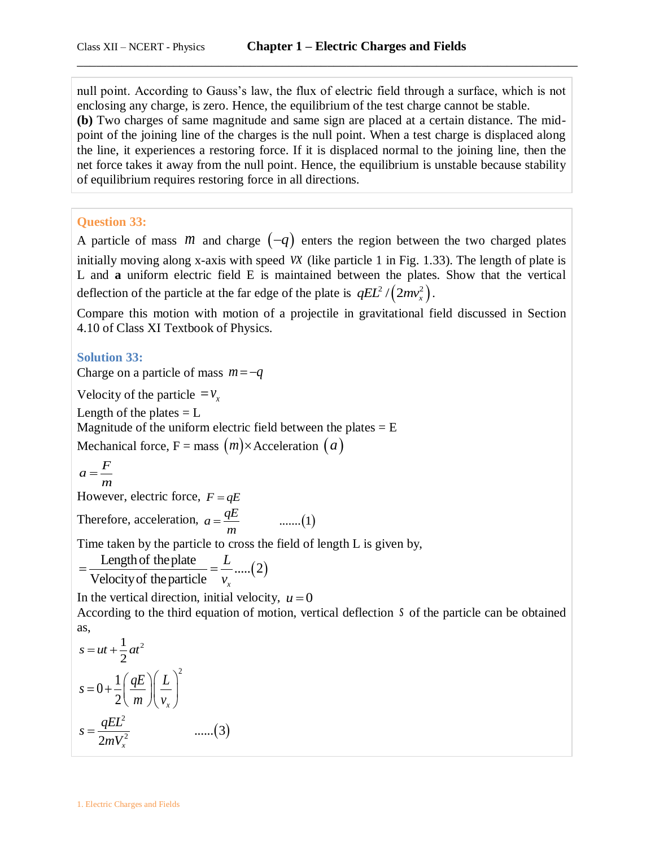null point. According to Gauss's law, the flux of electric field through a surface, which is not enclosing any charge, is zero. Hence, the equilibrium of the test charge cannot be stable. **(b)** Two charges of same magnitude and same sign are placed at a certain distance. The midpoint of the joining line of the charges is the null point. When a test charge is displaced along the line, it experiences a restoring force. If it is displaced normal to the joining line, then the net force takes it away from the null point. Hence, the equilibrium is unstable because stability of equilibrium requires restoring force in all directions.

\_\_\_\_\_\_\_\_\_\_\_\_\_\_\_\_\_\_\_\_\_\_\_\_\_\_\_\_\_\_\_\_\_\_\_\_\_\_\_\_\_\_\_\_\_\_\_\_\_\_\_\_\_\_\_\_\_\_\_\_\_\_\_\_\_\_\_\_\_\_\_\_\_\_\_\_\_\_

#### **Question 33:**

A particle of mass *m* and charge  $(-q)$  enters the region between the two charged plates initially moving along x-axis with speed *vx* (like particle 1 in Fig. 1.33). The length of plate is L and **a** uniform electric field E is maintained between the plates. Show that the vertical deflection of the particle at the far edge of the plate is  $qEL^2/(2mv_x^2)$ .

Compare this motion with motion of a projectile in gravitational field discussed in Section 4.10 of Class XI Textbook of Physics.

#### **Solution 33:**

Charge on a particle of mass  $m = -q$ 

Velocity of the particle  $= v_x$ 

Length of the plates  $= L$ 

Magnitude of the uniform electric field between the plates  $= E$ 

Mechanical force,  $F = \text{mass}(m) \times \text{Acceleration}(a)$ 

$$
a = \frac{F}{m}
$$

However, electric force,  $F = qE$ 

Therefore, acceleration,  $a = \frac{qE}{m}$  .......(1) *m*  $=$ 

Time taken by the particle to cross the field of length L is given by,

me taken by the particle to cross the field of<br>
<u>Length of the plate</u>  $=$   $\frac{L}{v_x}$  ..... (2)<br>
Velocity of the particle  $\frac{L}{v_x}$  $=\frac{\text{Length of the plate}}{\text{Velocity of the particle}} = \frac{L}{v_x}$ ...

In the vertical direction, initial velocity,  $u = 0$ 

According to the third equation of motion, vertical deflection  $s$  of the particle can be obtained as,

$$
s = ut + \frac{1}{2}at^2
$$
  
\n
$$
s = 0 + \frac{1}{2} \left( \frac{qE}{m} \right) \left( \frac{L}{v_x} \right)^2
$$
  
\n
$$
s = \frac{qEL^2}{2mV_x^2} \qquad \qquad \dots \dots (3)
$$